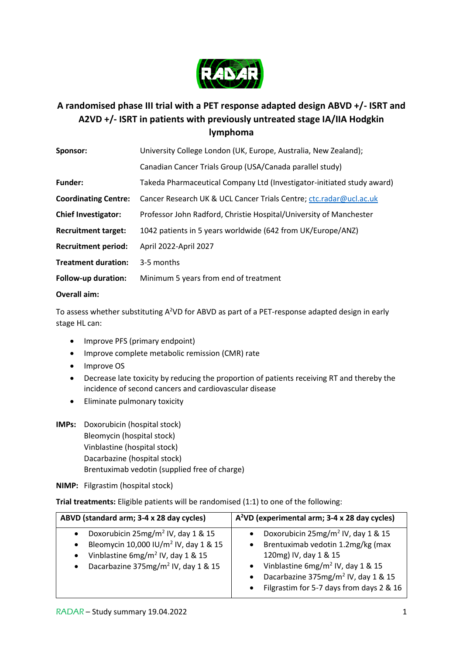

## **A randomised phase III trial with a PET response adapted design ABVD +/- ISRT and A2VD +/- ISRT in patients with previously untreated stage IA/IIA Hodgkin lymphoma**

| Sponsor:                    | University College London (UK, Europe, Australia, New Zealand);        |
|-----------------------------|------------------------------------------------------------------------|
|                             | Canadian Cancer Trials Group (USA/Canada parallel study)               |
| <b>Funder:</b>              | Takeda Pharmaceutical Company Ltd (Investigator-initiated study award) |
| <b>Coordinating Centre:</b> | Cancer Research UK & UCL Cancer Trials Centre; ctc.radar@ucl.ac.uk     |
| <b>Chief Investigator:</b>  | Professor John Radford, Christie Hospital/University of Manchester     |
| <b>Recruitment target:</b>  | 1042 patients in 5 years worldwide (642 from UK/Europe/ANZ)            |
| <b>Recruitment period:</b>  | April 2022-April 2027                                                  |
| <b>Treatment duration:</b>  | 3-5 months                                                             |
| Follow-up duration:         | Minimum 5 years from end of treatment                                  |
| Overall aim:                |                                                                        |

To assess whether substituting A<sup>2</sup>VD for ABVD as part of a PET-response adapted design in early stage HL can:

- Improve PFS (primary endpoint)
- Improve complete metabolic remission (CMR) rate
- Improve OS
- Decrease late toxicity by reducing the proportion of patients receiving RT and thereby the incidence of second cancers and cardiovascular disease
- Eliminate pulmonary toxicity
- **IMPs:** Doxorubicin (hospital stock) Bleomycin (hospital stock) Vinblastine (hospital stock) Dacarbazine (hospital stock) Brentuximab vedotin (supplied free of charge)

**NIMP:** Filgrastim (hospital stock)

**Trial treatments:** Eligible patients will be randomised (1:1) to one of the following:

| ABVD (standard arm; 3-4 x 28 day cycles)                                                                                                                                                                                                  | A <sup>2</sup> VD (experimental arm; 3-4 x 28 day cycles)                                                                                                                                                                                                                                               |  |  |  |  |  |
|-------------------------------------------------------------------------------------------------------------------------------------------------------------------------------------------------------------------------------------------|---------------------------------------------------------------------------------------------------------------------------------------------------------------------------------------------------------------------------------------------------------------------------------------------------------|--|--|--|--|--|
| Doxorubicin $25mg/m^2$ IV, day 1 & 15<br>$\bullet$<br>Bleomycin 10,000 IU/m <sup>2</sup> IV, day 1 & 15<br>$\bullet$<br>Vinblastine $6mg/m^2$ IV, day 1 & 15<br>$\bullet$<br>Dacarbazine 375mg/m <sup>2</sup> IV, day 1 & 15<br>$\bullet$ | Doxorubicin 25mg/m <sup>2</sup> IV, day 1 & 15<br>Brentuximab vedotin 1.2mg/kg (max<br>$\bullet$<br>120mg) IV, day 1 & 15<br>Vinblastine $6mg/m^2$ IV, day 1 & 15<br>$\bullet$<br>Dacarbazine 375mg/m <sup>2</sup> IV, day 1 & 15<br>$\bullet$<br>Filgrastim for 5-7 days from days 2 & 16<br>$\bullet$ |  |  |  |  |  |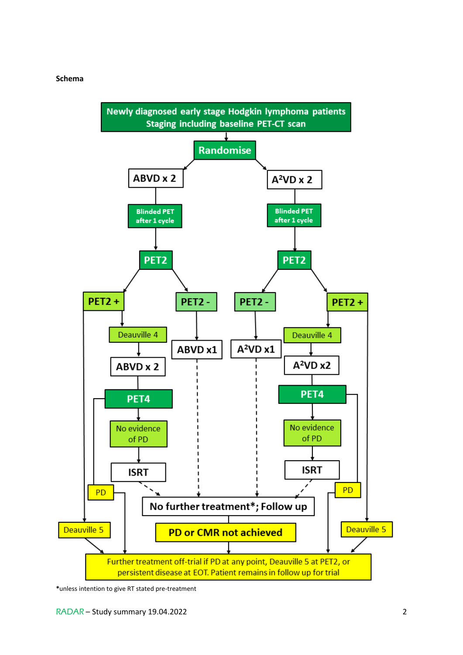#### **Schema**



**\***unless intention to give RT stated pre-treatment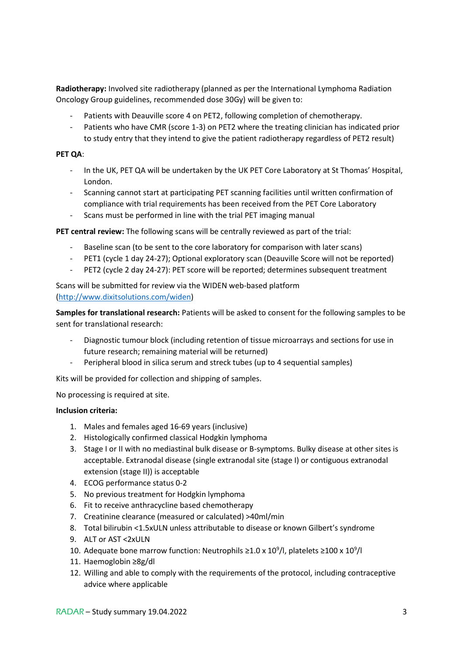**Radiotherapy:** Involved site radiotherapy (planned as per the International Lymphoma Radiation Oncology Group guidelines, recommended dose 30Gy) will be given to:

- Patients with Deauville score 4 on PET2, following completion of chemotherapy.
- Patients who have CMR (score 1-3) on PET2 where the treating clinician has indicated prior to study entry that they intend to give the patient radiotherapy regardless of PET2 result)

#### **PET QA**:

- In the UK, PET QA will be undertaken by the UK PET Core Laboratory at St Thomas' Hospital, London.
- Scanning cannot start at participating PET scanning facilities until written confirmation of compliance with trial requirements has been received from the PET Core Laboratory
- Scans must be performed in line with the trial PET imaging manual

**PET central review:** The following scans will be centrally reviewed as part of the trial:

- Baseline scan (to be sent to the core laboratory for comparison with later scans)
- PET1 (cycle 1 day 24-27); Optional exploratory scan (Deauville Score will not be reported)
- PET2 (cycle 2 day 24-27): PET score will be reported; determines subsequent treatment

Scans will be submitted for review via the WIDEN web-based platform [\(http://www.dixitsolutions.com/widen\)](http://www.dixitsolutions.com/widen)

**Samples for translational research:** Patients will be asked to consent for the following samples to be sent for translational research:

- Diagnostic tumour block (including retention of tissue microarrays and sections for use in future research; remaining material will be returned)
- Peripheral blood in silica serum and streck tubes (up to 4 sequential samples)

Kits will be provided for collection and shipping of samples.

No processing is required at site.

#### **Inclusion criteria:**

- 1. Males and females aged 16-69 years (inclusive)
- 2. Histologically confirmed classical Hodgkin lymphoma
- 3. Stage I or II with no mediastinal bulk disease or B-symptoms. Bulky disease at other sites is acceptable. Extranodal disease (single extranodal site (stage I) or contiguous extranodal extension (stage II)) is acceptable
- 4. ECOG performance status 0-2
- 5. No previous treatment for Hodgkin lymphoma
- 6. Fit to receive anthracycline based chemotherapy
- 7. Creatinine clearance (measured or calculated) >40ml/min
- 8. Total bilirubin <1.5xULN unless attributable to disease or known Gilbert's syndrome
- 9. ALT or AST <2xULN
- 10. Adequate bone marrow function: Neutrophils ≥1.0 x 10<sup>9</sup>/l, platelets ≥100 x 10<sup>9</sup>/l
- 11. Haemoglobin ≥8g/dl
- 12. Willing and able to comply with the requirements of the protocol, including contraceptive advice where applicable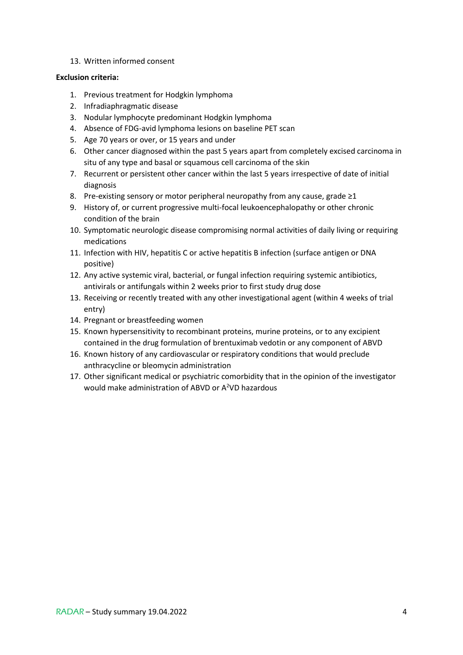#### 13. Written informed consent

### **Exclusion criteria:**

- 1. Previous treatment for Hodgkin lymphoma
- 2. Infradiaphragmatic disease
- 3. Nodular lymphocyte predominant Hodgkin lymphoma
- 4. Absence of FDG-avid lymphoma lesions on baseline PET scan
- 5. Age 70 years or over, or 15 years and under
- 6. Other cancer diagnosed within the past 5 years apart from completely excised carcinoma in situ of any type and basal or squamous cell carcinoma of the skin
- 7. Recurrent or persistent other cancer within the last 5 years irrespective of date of initial diagnosis
- 8. Pre-existing sensory or motor peripheral neuropathy from any cause, grade ≥1
- 9. History of, or current progressive multi-focal leukoencephalopathy or other chronic condition of the brain
- 10. Symptomatic neurologic disease compromising normal activities of daily living or requiring medications
- 11. Infection with HIV, hepatitis C or active hepatitis B infection (surface antigen or DNA positive)
- 12. Any active systemic viral, bacterial, or fungal infection requiring systemic antibiotics, antivirals or antifungals within 2 weeks prior to first study drug dose
- 13. Receiving or recently treated with any other investigational agent (within 4 weeks of trial entry)
- 14. Pregnant or breastfeeding women
- 15. Known hypersensitivity to recombinant proteins, murine proteins, or to any excipient contained in the drug formulation of brentuximab vedotin or any component of ABVD
- 16. Known history of any cardiovascular or respiratory conditions that would preclude anthracycline or bleomycin administration
- 17. Other significant medical or psychiatric comorbidity that in the opinion of the investigator would make administration of ABVD or A<sup>2</sup>VD hazardous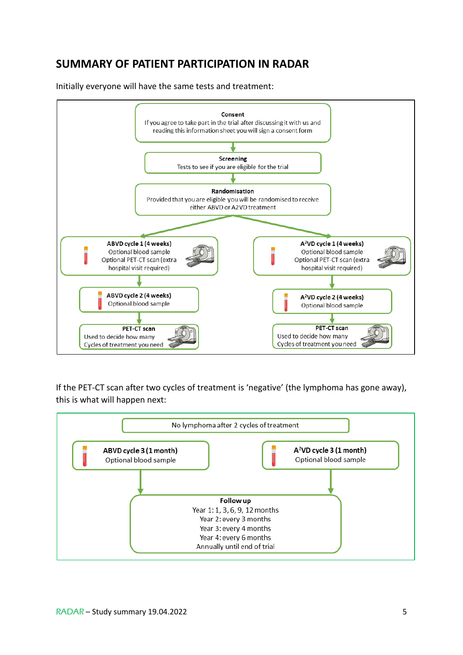# **SUMMARY OF PATIENT PARTICIPATION IN RADAR**

Initially everyone will have the same tests and treatment:



If the PET-CT scan after two cycles of treatment is 'negative' (the lymphoma has gone away), this is what will happen next:

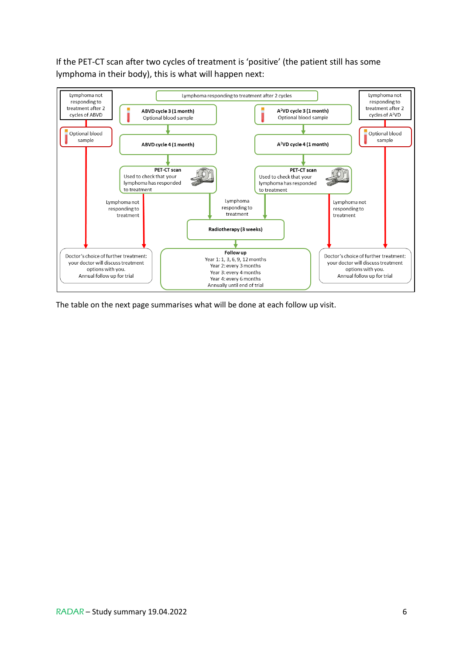If the PET-CT scan after two cycles of treatment is 'positive' (the patient still has some lymphoma in their body), this is what will happen next:



The table on the next page summarises what will be done at each follow up visit.